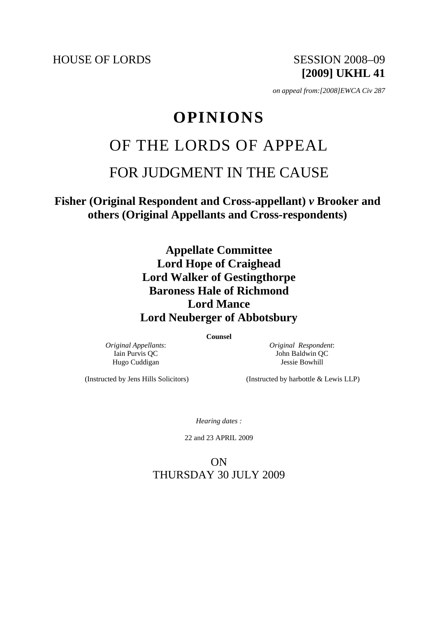HOUSE OF LORDS SESSION 2008–09

**[2009] UKHL 41** 

*on appeal from:[2008]EWCA Civ 287*

# **OPINIONS**

# OF THE LORDS OF APPEAL

# FOR JUDGMENT IN THE CAUSE

**Fisher (Original Respondent and Cross-appellant)** *v* **Brooker and others (Original Appellants and Cross-respondents)** 

> **Appellate Committee Lord Hope of Craighead Lord Walker of Gestingthorpe Baroness Hale of Richmond Lord Mance Lord Neuberger of Abbotsbury**

> > **Counsel**

*Original Appellants*: Iain Purvis QC Hugo Cuddigan

*Original Respondent*: John Baldwin QC Jessie Bowhill

(Instructed by Jens Hills Solicitors)

(Instructed by harbottle & Lewis LLP)

*Hearing dates :* 

22 and 23 APRIL 2009

ON THURSDAY 30 JULY 2009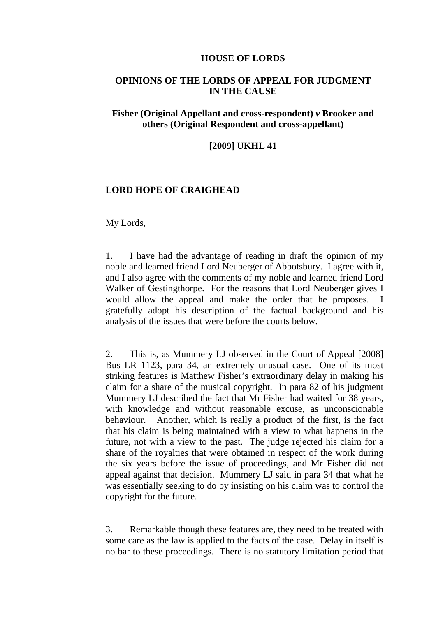#### **HOUSE OF LORDS**

# **OPINIONS OF THE LORDS OF APPEAL FOR JUDGMENT IN THE CAUSE**

## **Fisher (Original Appellant and cross-respondent)** *v* **Brooker and others (Original Respondent and cross-appellant)**

#### **[2009] UKHL 41**

#### **LORD HOPE OF CRAIGHEAD**

My Lords,

1. I have had the advantage of reading in draft the opinion of my noble and learned friend Lord Neuberger of Abbotsbury. I agree with it, and I also agree with the comments of my noble and learned friend Lord Walker of Gestingthorpe. For the reasons that Lord Neuberger gives I would allow the appeal and make the order that he proposes. I gratefully adopt his description of the factual background and his analysis of the issues that were before the courts below.

2. This is, as Mummery LJ observed in the Court of Appeal [2008] Bus LR 1123, para 34, an extremely unusual case. One of its most striking features is Matthew Fisher's extraordinary delay in making his claim for a share of the musical copyright. In para 82 of his judgment Mummery LJ described the fact that Mr Fisher had waited for 38 years, with knowledge and without reasonable excuse, as unconscionable behaviour. Another, which is really a product of the first, is the fact that his claim is being maintained with a view to what happens in the future, not with a view to the past. The judge rejected his claim for a share of the royalties that were obtained in respect of the work during the six years before the issue of proceedings, and Mr Fisher did not appeal against that decision. Mummery LJ said in para 34 that what he was essentially seeking to do by insisting on his claim was to control the copyright for the future.

3. Remarkable though these features are, they need to be treated with some care as the law is applied to the facts of the case. Delay in itself is no bar to these proceedings. There is no statutory limitation period that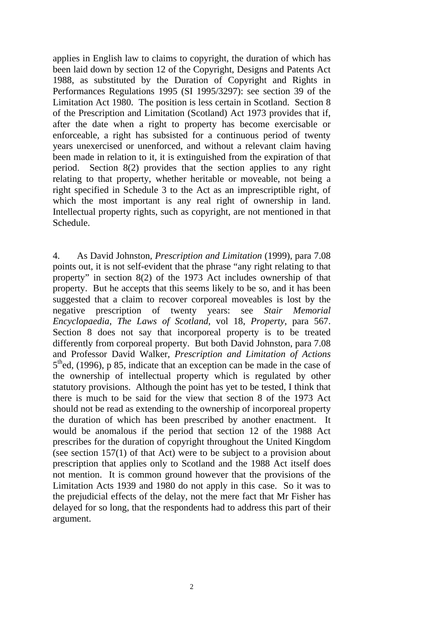applies in English law to claims to copyright, the duration of which has been laid down by section 12 of the Copyright, Designs and Patents Act 1988, as substituted by the Duration of Copyright and Rights in Performances Regulations 1995 (SI 1995/3297): see section 39 of the Limitation Act 1980. The position is less certain in Scotland. Section 8 of the Prescription and Limitation (Scotland) Act 1973 provides that if, after the date when a right to property has become exercisable or enforceable, a right has subsisted for a continuous period of twenty years unexercised or unenforced, and without a relevant claim having been made in relation to it, it is extinguished from the expiration of that period. Section 8(2) provides that the section applies to any right relating to that property, whether heritable or moveable, not being a right specified in Schedule 3 to the Act as an imprescriptible right, of which the most important is any real right of ownership in land. Intellectual property rights, such as copyright, are not mentioned in that Schedule.

4. As David Johnston, *Prescription and Limitation* (1999), para 7.08 points out, it is not self-evident that the phrase "any right relating to that property" in section 8(2) of the 1973 Act includes ownership of that property. But he accepts that this seems likely to be so, and it has been suggested that a claim to recover corporeal moveables is lost by the negative prescription of twenty years: see *Stair Memorial Encyclopaedia*, *The Laws of Scotland*, vol 18, *Property*, para 567. Section 8 does not say that incorporeal property is to be treated differently from corporeal property. But both David Johnston, para 7.08 and Professor David Walker, *Prescription and Limitation of Actions*   $5<sup>th</sup>$ ed, (1996), p 85, indicate that an exception can be made in the case of the ownership of intellectual property which is regulated by other statutory provisions. Although the point has yet to be tested, I think that there is much to be said for the view that section 8 of the 1973 Act should not be read as extending to the ownership of incorporeal property the duration of which has been prescribed by another enactment. It would be anomalous if the period that section 12 of the 1988 Act prescribes for the duration of copyright throughout the United Kingdom (see section 157(1) of that Act) were to be subject to a provision about prescription that applies only to Scotland and the 1988 Act itself does not mention. It is common ground however that the provisions of the Limitation Acts 1939 and 1980 do not apply in this case. So it was to the prejudicial effects of the delay, not the mere fact that Mr Fisher has delayed for so long, that the respondents had to address this part of their argument.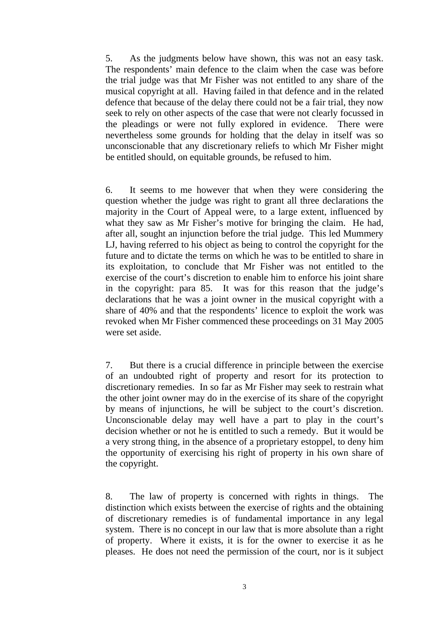5. As the judgments below have shown, this was not an easy task. The respondents' main defence to the claim when the case was before the trial judge was that Mr Fisher was not entitled to any share of the musical copyright at all. Having failed in that defence and in the related defence that because of the delay there could not be a fair trial, they now seek to rely on other aspects of the case that were not clearly focussed in the pleadings or were not fully explored in evidence. There were nevertheless some grounds for holding that the delay in itself was so unconscionable that any discretionary reliefs to which Mr Fisher might be entitled should, on equitable grounds, be refused to him.

6. It seems to me however that when they were considering the question whether the judge was right to grant all three declarations the majority in the Court of Appeal were, to a large extent, influenced by what they saw as Mr Fisher's motive for bringing the claim. He had, after all, sought an injunction before the trial judge. This led Mummery LJ, having referred to his object as being to control the copyright for the future and to dictate the terms on which he was to be entitled to share in its exploitation, to conclude that Mr Fisher was not entitled to the exercise of the court's discretion to enable him to enforce his joint share in the copyright: para 85. It was for this reason that the judge's declarations that he was a joint owner in the musical copyright with a share of 40% and that the respondents' licence to exploit the work was revoked when Mr Fisher commenced these proceedings on 31 May 2005 were set aside.

7. But there is a crucial difference in principle between the exercise of an undoubted right of property and resort for its protection to discretionary remedies. In so far as Mr Fisher may seek to restrain what the other joint owner may do in the exercise of its share of the copyright by means of injunctions, he will be subject to the court's discretion. Unconscionable delay may well have a part to play in the court's decision whether or not he is entitled to such a remedy. But it would be a very strong thing, in the absence of a proprietary estoppel, to deny him the opportunity of exercising his right of property in his own share of the copyright.

8. The law of property is concerned with rights in things. The distinction which exists between the exercise of rights and the obtaining of discretionary remedies is of fundamental importance in any legal system. There is no concept in our law that is more absolute than a right of property. Where it exists, it is for the owner to exercise it as he pleases. He does not need the permission of the court, nor is it subject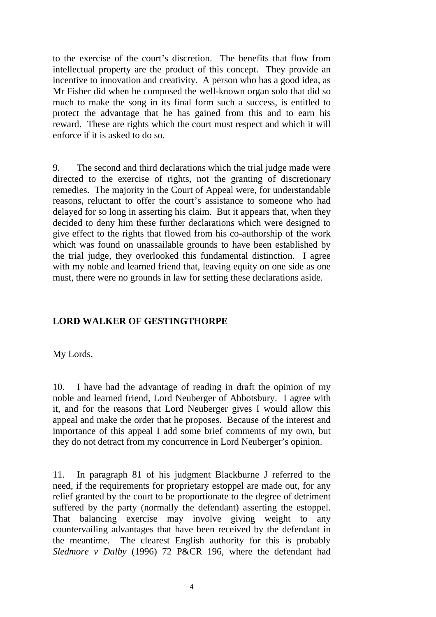to the exercise of the court's discretion. The benefits that flow from intellectual property are the product of this concept. They provide an incentive to innovation and creativity. A person who has a good idea, as Mr Fisher did when he composed the well-known organ solo that did so much to make the song in its final form such a success, is entitled to protect the advantage that he has gained from this and to earn his reward. These are rights which the court must respect and which it will enforce if it is asked to do so.

9. The second and third declarations which the trial judge made were directed to the exercise of rights, not the granting of discretionary remedies. The majority in the Court of Appeal were, for understandable reasons, reluctant to offer the court's assistance to someone who had delayed for so long in asserting his claim. But it appears that, when they decided to deny him these further declarations which were designed to give effect to the rights that flowed from his co-authorship of the work which was found on unassailable grounds to have been established by the trial judge, they overlooked this fundamental distinction. I agree with my noble and learned friend that, leaving equity on one side as one must, there were no grounds in law for setting these declarations aside.

## **LORD WALKER OF GESTINGTHORPE**

My Lords,

10. I have had the advantage of reading in draft the opinion of my noble and learned friend, Lord Neuberger of Abbotsbury. I agree with it, and for the reasons that Lord Neuberger gives I would allow this appeal and make the order that he proposes. Because of the interest and importance of this appeal I add some brief comments of my own, but they do not detract from my concurrence in Lord Neuberger's opinion.

11. In paragraph 81 of his judgment Blackburne J referred to the need, if the requirements for proprietary estoppel are made out, for any relief granted by the court to be proportionate to the degree of detriment suffered by the party (normally the defendant) asserting the estoppel. That balancing exercise may involve giving weight to any countervailing advantages that have been received by the defendant in the meantime. The clearest English authority for this is probably *Sledmore v Dalby* (1996) 72 P&CR 196, where the defendant had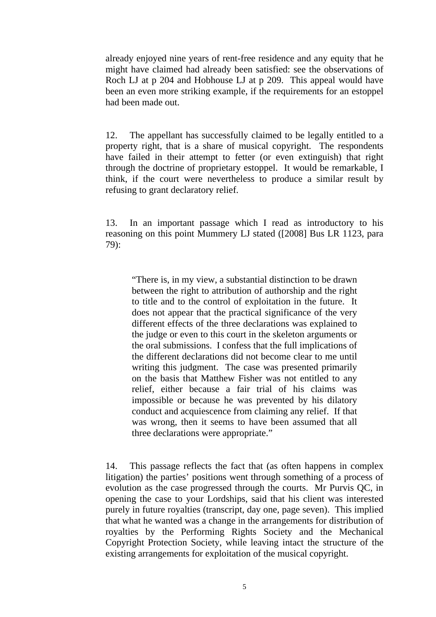already enjoyed nine years of rent-free residence and any equity that he might have claimed had already been satisfied: see the observations of Roch LJ at p 204 and Hobhouse LJ at p 209. This appeal would have been an even more striking example, if the requirements for an estoppel had been made out.

12. The appellant has successfully claimed to be legally entitled to a property right, that is a share of musical copyright. The respondents have failed in their attempt to fetter (or even extinguish) that right through the doctrine of proprietary estoppel. It would be remarkable, I think, if the court were nevertheless to produce a similar result by refusing to grant declaratory relief.

13. In an important passage which I read as introductory to his reasoning on this point Mummery LJ stated ([2008] Bus LR 1123, para 79):

"There is, in my view, a substantial distinction to be drawn between the right to attribution of authorship and the right to title and to the control of exploitation in the future. It does not appear that the practical significance of the very different effects of the three declarations was explained to the judge or even to this court in the skeleton arguments or the oral submissions. I confess that the full implications of the different declarations did not become clear to me until writing this judgment. The case was presented primarily on the basis that Matthew Fisher was not entitled to any relief, either because a fair trial of his claims was impossible or because he was prevented by his dilatory conduct and acquiescence from claiming any relief. If that was wrong, then it seems to have been assumed that all three declarations were appropriate."

14. This passage reflects the fact that (as often happens in complex litigation) the parties' positions went through something of a process of evolution as the case progressed through the courts. Mr Purvis QC, in opening the case to your Lordships, said that his client was interested purely in future royalties (transcript, day one, page seven). This implied that what he wanted was a change in the arrangements for distribution of royalties by the Performing Rights Society and the Mechanical Copyright Protection Society, while leaving intact the structure of the existing arrangements for exploitation of the musical copyright.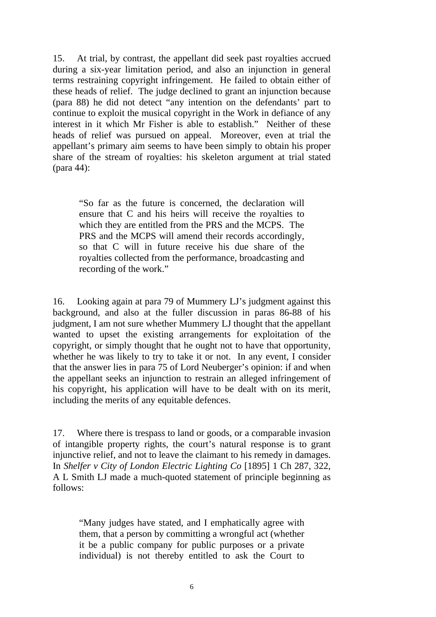15. At trial, by contrast, the appellant did seek past royalties accrued during a six-year limitation period, and also an injunction in general terms restraining copyright infringement. He failed to obtain either of these heads of relief. The judge declined to grant an injunction because (para 88) he did not detect "any intention on the defendants' part to continue to exploit the musical copyright in the Work in defiance of any interest in it which Mr Fisher is able to establish." Neither of these heads of relief was pursued on appeal. Moreover, even at trial the appellant's primary aim seems to have been simply to obtain his proper share of the stream of royalties: his skeleton argument at trial stated (para 44):

"So far as the future is concerned, the declaration will ensure that C and his heirs will receive the royalties to which they are entitled from the PRS and the MCPS. The PRS and the MCPS will amend their records accordingly, so that C will in future receive his due share of the royalties collected from the performance, broadcasting and recording of the work."

16. Looking again at para 79 of Mummery LJ's judgment against this background, and also at the fuller discussion in paras 86-88 of his judgment, I am not sure whether Mummery LJ thought that the appellant wanted to upset the existing arrangements for exploitation of the copyright, or simply thought that he ought not to have that opportunity, whether he was likely to try to take it or not. In any event, I consider that the answer lies in para 75 of Lord Neuberger's opinion: if and when the appellant seeks an injunction to restrain an alleged infringement of his copyright, his application will have to be dealt with on its merit, including the merits of any equitable defences.

17. Where there is trespass to land or goods, or a comparable invasion of intangible property rights, the court's natural response is to grant injunctive relief, and not to leave the claimant to his remedy in damages. In *Shelfer v City of London Electric Lighting Co* [1895] 1 Ch 287, 322, A L Smith LJ made a much-quoted statement of principle beginning as follows:

"Many judges have stated, and I emphatically agree with them, that a person by committing a wrongful act (whether it be a public company for public purposes or a private individual) is not thereby entitled to ask the Court to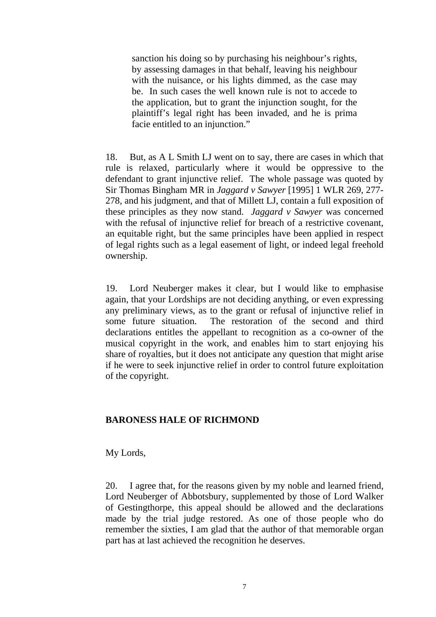sanction his doing so by purchasing his neighbour's rights, by assessing damages in that behalf, leaving his neighbour with the nuisance, or his lights dimmed, as the case may be. In such cases the well known rule is not to accede to the application, but to grant the injunction sought, for the plaintiff's legal right has been invaded, and he is prima facie entitled to an injunction."

18. But, as A L Smith LJ went on to say, there are cases in which that rule is relaxed, particularly where it would be oppressive to the defendant to grant injunctive relief. The whole passage was quoted by Sir Thomas Bingham MR in *Jaggard v Sawyer* [1995] 1 WLR 269, 277- 278, and his judgment, and that of Millett LJ, contain a full exposition of these principles as they now stand. *Jaggard v Sawyer* was concerned with the refusal of injunctive relief for breach of a restrictive covenant, an equitable right, but the same principles have been applied in respect of legal rights such as a legal easement of light, or indeed legal freehold ownership.

19. Lord Neuberger makes it clear, but I would like to emphasise again, that your Lordships are not deciding anything, or even expressing any preliminary views, as to the grant or refusal of injunctive relief in some future situation. The restoration of the second and third declarations entitles the appellant to recognition as a co-owner of the musical copyright in the work, and enables him to start enjoying his share of royalties, but it does not anticipate any question that might arise if he were to seek injunctive relief in order to control future exploitation of the copyright.

## **BARONESS HALE OF RICHMOND**

My Lords,

20. I agree that, for the reasons given by my noble and learned friend, Lord Neuberger of Abbotsbury, supplemented by those of Lord Walker of Gestingthorpe, this appeal should be allowed and the declarations made by the trial judge restored. As one of those people who do remember the sixties, I am glad that the author of that memorable organ part has at last achieved the recognition he deserves.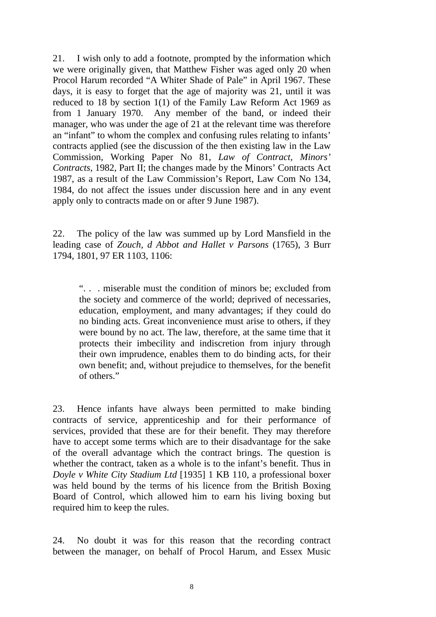21. I wish only to add a footnote, prompted by the information which we were originally given, that Matthew Fisher was aged only 20 when Procol Harum recorded "A Whiter Shade of Pale" in April 1967. These days, it is easy to forget that the age of majority was 21, until it was reduced to 18 by section 1(1) of the Family Law Reform Act 1969 as from 1 January 1970. Any member of the band, or indeed their manager, who was under the age of 21 at the relevant time was therefore an "infant" to whom the complex and confusing rules relating to infants' contracts applied (see the discussion of the then existing law in the Law Commission, Working Paper No 81, *Law of Contract, Minors' Contracts*, 1982, Part II; the changes made by the Minors' Contracts Act 1987, as a result of the Law Commission's Report, Law Com No 134, 1984, do not affect the issues under discussion here and in any event apply only to contracts made on or after 9 June 1987).

22. The policy of the law was summed up by Lord Mansfield in the leading case of *Zouch, d Abbot and Hallet v Parsons* (1765), 3 Burr 1794, 1801, 97 ER 1103, 1106:

". . . miserable must the condition of minors be; excluded from the society and commerce of the world; deprived of necessaries, education, employment, and many advantages; if they could do no binding acts. Great inconvenience must arise to others, if they were bound by no act. The law, therefore, at the same time that it protects their imbecility and indiscretion from injury through their own imprudence, enables them to do binding acts, for their own benefit; and, without prejudice to themselves, for the benefit of others."

23. Hence infants have always been permitted to make binding contracts of service, apprenticeship and for their performance of services, provided that these are for their benefit. They may therefore have to accept some terms which are to their disadvantage for the sake of the overall advantage which the contract brings. The question is whether the contract, taken as a whole is to the infant's benefit. Thus in *Doyle v White City Stadium Ltd* [1935] 1 KB 110, a professional boxer was held bound by the terms of his licence from the British Boxing Board of Control, which allowed him to earn his living boxing but required him to keep the rules.

24. No doubt it was for this reason that the recording contract between the manager, on behalf of Procol Harum, and Essex Music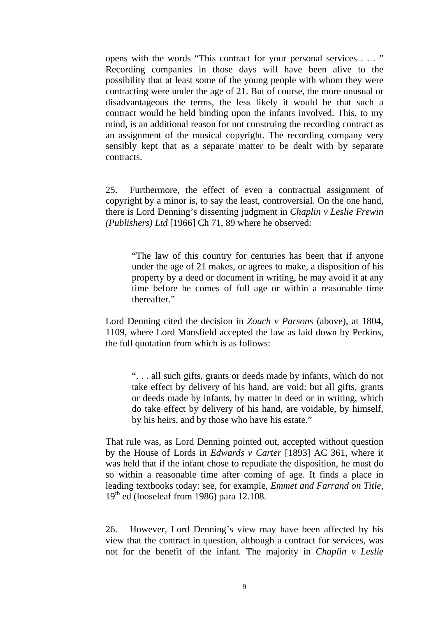opens with the words "This contract for your personal services . . . " Recording companies in those days will have been alive to the possibility that at least some of the young people with whom they were contracting were under the age of 21. But of course, the more unusual or disadvantageous the terms, the less likely it would be that such a contract would be held binding upon the infants involved. This, to my mind, is an additional reason for not construing the recording contract as an assignment of the musical copyright. The recording company very sensibly kept that as a separate matter to be dealt with by separate contracts.

25. Furthermore, the effect of even a contractual assignment of copyright by a minor is, to say the least, controversial. On the one hand, there is Lord Denning's dissenting judgment in *Chaplin v Leslie Frewin (Publishers) Ltd* [1966] Ch 71, 89 where he observed:

"The law of this country for centuries has been that if anyone under the age of 21 makes, or agrees to make, a disposition of his property by a deed or document in writing, he may avoid it at any time before he comes of full age or within a reasonable time thereafter."

Lord Denning cited the decision in *Zouch v Parsons* (above), at 1804, 1109, where Lord Mansfield accepted the law as laid down by Perkins, the full quotation from which is as follows:

". . . all such gifts, grants or deeds made by infants, which do not take effect by delivery of his hand, are void: but all gifts, grants or deeds made by infants, by matter in deed or in writing, which do take effect by delivery of his hand, are voidable, by himself, by his heirs, and by those who have his estate."

That rule was, as Lord Denning pointed out, accepted without question by the House of Lords in *Edwards v Carter* [1893] AC 361, where it was held that if the infant chose to repudiate the disposition, he must do so within a reasonable time after coming of age. It finds a place in leading textbooks today: see, for example, *Emmet and Farrand on Title*,  $19<sup>th</sup>$  ed (looseleaf from 1986) para 12.108.

26. However, Lord Denning's view may have been affected by his view that the contract in question, although a contract for services, was not for the benefit of the infant. The majority in *Chaplin v Leslie*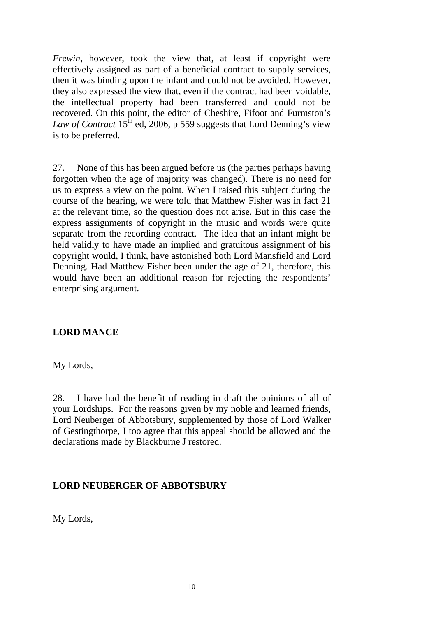*Frewin*, however, took the view that, at least if copyright were effectively assigned as part of a beneficial contract to supply services, then it was binding upon the infant and could not be avoided. However, they also expressed the view that, even if the contract had been voidable, the intellectual property had been transferred and could not be recovered. On this point, the editor of Cheshire, Fifoot and Furmston's *Law of Contract* 15<sup>th</sup> ed, 2006, p 559 suggests that Lord Denning's view is to be preferred.

27. None of this has been argued before us (the parties perhaps having forgotten when the age of majority was changed). There is no need for us to express a view on the point. When I raised this subject during the course of the hearing, we were told that Matthew Fisher was in fact 21 at the relevant time, so the question does not arise. But in this case the express assignments of copyright in the music and words were quite separate from the recording contract. The idea that an infant might be held validly to have made an implied and gratuitous assignment of his copyright would, I think, have astonished both Lord Mansfield and Lord Denning. Had Matthew Fisher been under the age of 21, therefore, this would have been an additional reason for rejecting the respondents' enterprising argument.

# **LORD MANCE**

My Lords,

28. I have had the benefit of reading in draft the opinions of all of your Lordships. For the reasons given by my noble and learned friends, Lord Neuberger of Abbotsbury, supplemented by those of Lord Walker of Gestingthorpe, I too agree that this appeal should be allowed and the declarations made by Blackburne J restored.

# **LORD NEUBERGER OF ABBOTSBURY**

My Lords,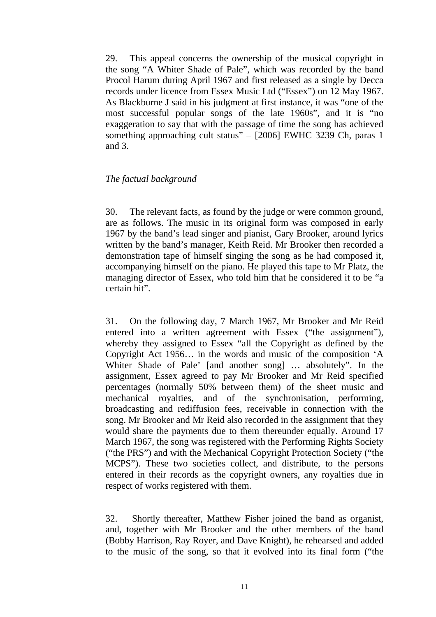29. This appeal concerns the ownership of the musical copyright in the song "A Whiter Shade of Pale", which was recorded by the band Procol Harum during April 1967 and first released as a single by Decca records under licence from Essex Music Ltd ("Essex") on 12 May 1967. As Blackburne J said in his judgment at first instance, it was "one of the most successful popular songs of the late 1960s", and it is "no exaggeration to say that with the passage of time the song has achieved something approaching cult status" – [2006] EWHC 3239 Ch, paras 1 and 3.

## *The factual background*

30. The relevant facts, as found by the judge or were common ground, are as follows. The music in its original form was composed in early 1967 by the band's lead singer and pianist, Gary Brooker, around lyrics written by the band's manager, Keith Reid. Mr Brooker then recorded a demonstration tape of himself singing the song as he had composed it, accompanying himself on the piano. He played this tape to Mr Platz, the managing director of Essex, who told him that he considered it to be "a certain hit".

31. On the following day, 7 March 1967, Mr Brooker and Mr Reid entered into a written agreement with Essex ("the assignment"), whereby they assigned to Essex "all the Copyright as defined by the Copyright Act 1956… in the words and music of the composition 'A Whiter Shade of Pale' [and another song] … absolutely". In the assignment, Essex agreed to pay Mr Brooker and Mr Reid specified percentages (normally 50% between them) of the sheet music and mechanical royalties, and of the synchronisation, performing, broadcasting and rediffusion fees, receivable in connection with the song. Mr Brooker and Mr Reid also recorded in the assignment that they would share the payments due to them thereunder equally. Around 17 March 1967, the song was registered with the Performing Rights Society ("the PRS") and with the Mechanical Copyright Protection Society ("the MCPS"). These two societies collect, and distribute, to the persons entered in their records as the copyright owners, any royalties due in respect of works registered with them.

32. Shortly thereafter, Matthew Fisher joined the band as organist, and, together with Mr Brooker and the other members of the band (Bobby Harrison, Ray Royer, and Dave Knight), he rehearsed and added to the music of the song, so that it evolved into its final form ("the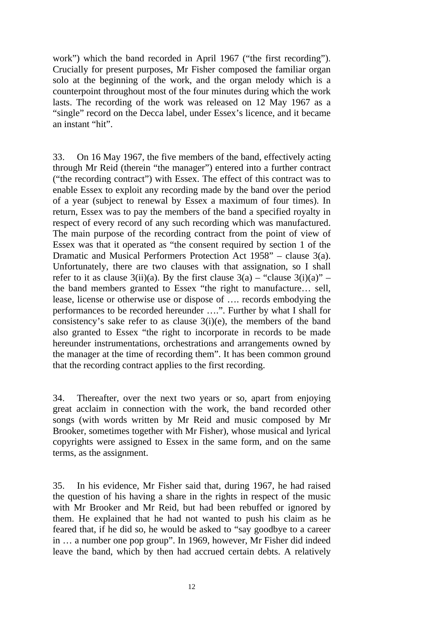work") which the band recorded in April 1967 ("the first recording"). Crucially for present purposes, Mr Fisher composed the familiar organ solo at the beginning of the work, and the organ melody which is a counterpoint throughout most of the four minutes during which the work lasts. The recording of the work was released on 12 May 1967 as a "single" record on the Decca label, under Essex's licence, and it became an instant "hit".

33. On 16 May 1967, the five members of the band, effectively acting through Mr Reid (therein "the manager") entered into a further contract ("the recording contract") with Essex. The effect of this contract was to enable Essex to exploit any recording made by the band over the period of a year (subject to renewal by Essex a maximum of four times). In return, Essex was to pay the members of the band a specified royalty in respect of every record of any such recording which was manufactured. The main purpose of the recording contract from the point of view of Essex was that it operated as "the consent required by section 1 of the Dramatic and Musical Performers Protection Act 1958" – clause 3(a). Unfortunately, there are two clauses with that assignation, so I shall refer to it as clause  $3(ii)(a)$ . By the first clause  $3(a)$  – "clause  $3(i)(a)$ " – the band members granted to Essex "the right to manufacture… sell, lease, license or otherwise use or dispose of …. records embodying the performances to be recorded hereunder ….". Further by what I shall for consistency's sake refer to as clause  $3(i)(e)$ , the members of the band also granted to Essex "the right to incorporate in records to be made hereunder instrumentations, orchestrations and arrangements owned by the manager at the time of recording them". It has been common ground that the recording contract applies to the first recording.

34. Thereafter, over the next two years or so, apart from enjoying great acclaim in connection with the work, the band recorded other songs (with words written by Mr Reid and music composed by Mr Brooker, sometimes together with Mr Fisher), whose musical and lyrical copyrights were assigned to Essex in the same form, and on the same terms, as the assignment.

35. In his evidence, Mr Fisher said that, during 1967, he had raised the question of his having a share in the rights in respect of the music with Mr Brooker and Mr Reid, but had been rebuffed or ignored by them. He explained that he had not wanted to push his claim as he feared that, if he did so, he would be asked to "say goodbye to a career in … a number one pop group". In 1969, however, Mr Fisher did indeed leave the band, which by then had accrued certain debts. A relatively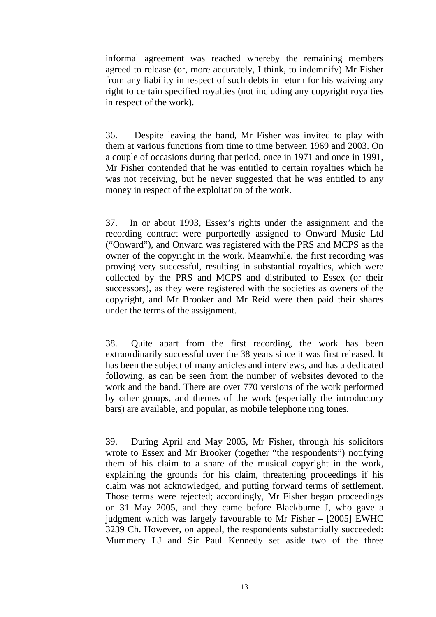informal agreement was reached whereby the remaining members agreed to release (or, more accurately, I think, to indemnify) Mr Fisher from any liability in respect of such debts in return for his waiving any right to certain specified royalties (not including any copyright royalties in respect of the work).

36. Despite leaving the band, Mr Fisher was invited to play with them at various functions from time to time between 1969 and 2003. On a couple of occasions during that period, once in 1971 and once in 1991, Mr Fisher contended that he was entitled to certain royalties which he was not receiving, but he never suggested that he was entitled to any money in respect of the exploitation of the work.

37. In or about 1993, Essex's rights under the assignment and the recording contract were purportedly assigned to Onward Music Ltd ("Onward"), and Onward was registered with the PRS and MCPS as the owner of the copyright in the work. Meanwhile, the first recording was proving very successful, resulting in substantial royalties, which were collected by the PRS and MCPS and distributed to Essex (or their successors), as they were registered with the societies as owners of the copyright, and Mr Brooker and Mr Reid were then paid their shares under the terms of the assignment.

38. Quite apart from the first recording, the work has been extraordinarily successful over the 38 years since it was first released. It has been the subject of many articles and interviews, and has a dedicated following, as can be seen from the number of websites devoted to the work and the band. There are over 770 versions of the work performed by other groups, and themes of the work (especially the introductory bars) are available, and popular, as mobile telephone ring tones.

39. During April and May 2005, Mr Fisher, through his solicitors wrote to Essex and Mr Brooker (together "the respondents") notifying them of his claim to a share of the musical copyright in the work, explaining the grounds for his claim, threatening proceedings if his claim was not acknowledged, and putting forward terms of settlement. Those terms were rejected; accordingly, Mr Fisher began proceedings on 31 May 2005, and they came before Blackburne J, who gave a judgment which was largely favourable to Mr Fisher – [2005] EWHC 3239 Ch. However, on appeal, the respondents substantially succeeded: Mummery LJ and Sir Paul Kennedy set aside two of the three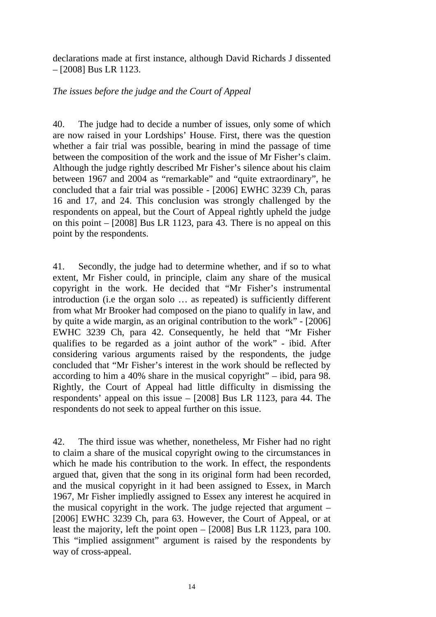declarations made at first instance, although David Richards J dissented – [2008] Bus LR 1123.

# *The issues before the judge and the Court of Appeal*

40. The judge had to decide a number of issues, only some of which are now raised in your Lordships' House. First, there was the question whether a fair trial was possible, bearing in mind the passage of time between the composition of the work and the issue of Mr Fisher's claim. Although the judge rightly described Mr Fisher's silence about his claim between 1967 and 2004 as "remarkable" and "quite extraordinary", he concluded that a fair trial was possible - [2006] EWHC 3239 Ch, paras 16 and 17, and 24. This conclusion was strongly challenged by the respondents on appeal, but the Court of Appeal rightly upheld the judge on this point – [2008] Bus LR 1123, para 43. There is no appeal on this point by the respondents.

41. Secondly, the judge had to determine whether, and if so to what extent, Mr Fisher could, in principle, claim any share of the musical copyright in the work. He decided that "Mr Fisher's instrumental introduction (i.e the organ solo … as repeated) is sufficiently different from what Mr Brooker had composed on the piano to qualify in law, and by quite a wide margin, as an original contribution to the work" - [2006] EWHC 3239 Ch, para 42. Consequently, he held that "Mr Fisher qualifies to be regarded as a joint author of the work" - ibid. After considering various arguments raised by the respondents, the judge concluded that "Mr Fisher's interest in the work should be reflected by according to him a 40% share in the musical copyright" – ibid, para 98. Rightly, the Court of Appeal had little difficulty in dismissing the respondents' appeal on this issue – [2008] Bus LR 1123, para 44. The respondents do not seek to appeal further on this issue.

42. The third issue was whether, nonetheless, Mr Fisher had no right to claim a share of the musical copyright owing to the circumstances in which he made his contribution to the work. In effect, the respondents argued that, given that the song in its original form had been recorded, and the musical copyright in it had been assigned to Essex, in March 1967, Mr Fisher impliedly assigned to Essex any interest he acquired in the musical copyright in the work. The judge rejected that argument – [2006] EWHC 3239 Ch, para 63. However, the Court of Appeal, or at least the majority, left the point open – [2008] Bus LR 1123, para 100. This "implied assignment" argument is raised by the respondents by way of cross-appeal.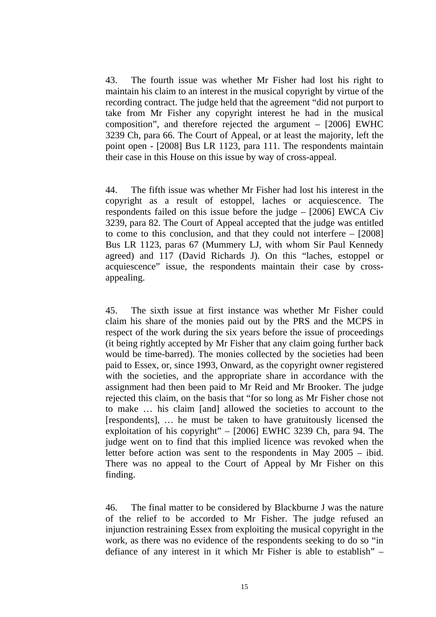43. The fourth issue was whether Mr Fisher had lost his right to maintain his claim to an interest in the musical copyright by virtue of the recording contract. The judge held that the agreement "did not purport to take from Mr Fisher any copyright interest he had in the musical composition", and therefore rejected the argument – [2006] EWHC 3239 Ch, para 66. The Court of Appeal, or at least the majority, left the point open - [2008] Bus LR 1123, para 111. The respondents maintain their case in this House on this issue by way of cross-appeal.

44. The fifth issue was whether Mr Fisher had lost his interest in the copyright as a result of estoppel, laches or acquiescence. The respondents failed on this issue before the judge – [2006] EWCA Civ 3239, para 82. The Court of Appeal accepted that the judge was entitled to come to this conclusion, and that they could not interfere – [2008] Bus LR 1123, paras 67 (Mummery LJ, with whom Sir Paul Kennedy agreed) and 117 (David Richards J). On this "laches, estoppel or acquiescence" issue, the respondents maintain their case by crossappealing.

45. The sixth issue at first instance was whether Mr Fisher could claim his share of the monies paid out by the PRS and the MCPS in respect of the work during the six years before the issue of proceedings (it being rightly accepted by Mr Fisher that any claim going further back would be time-barred). The monies collected by the societies had been paid to Essex, or, since 1993, Onward, as the copyright owner registered with the societies, and the appropriate share in accordance with the assignment had then been paid to Mr Reid and Mr Brooker. The judge rejected this claim, on the basis that "for so long as Mr Fisher chose not to make … his claim [and] allowed the societies to account to the [respondents], … he must be taken to have gratuitously licensed the exploitation of his copyright" – [2006] EWHC 3239 Ch, para 94. The judge went on to find that this implied licence was revoked when the letter before action was sent to the respondents in May 2005 – ibid. There was no appeal to the Court of Appeal by Mr Fisher on this finding.

46. The final matter to be considered by Blackburne J was the nature of the relief to be accorded to Mr Fisher. The judge refused an injunction restraining Essex from exploiting the musical copyright in the work, as there was no evidence of the respondents seeking to do so "in defiance of any interest in it which Mr Fisher is able to establish" –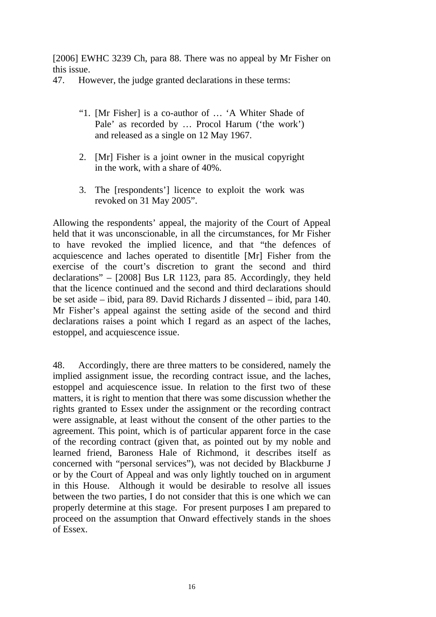[2006] EWHC 3239 Ch, para 88. There was no appeal by Mr Fisher on this issue.

47. However, the judge granted declarations in these terms:

- "1. [Mr Fisher] is a co-author of … 'A Whiter Shade of Pale' as recorded by … Procol Harum ('the work') and released as a single on 12 May 1967.
- 2. [Mr] Fisher is a joint owner in the musical copyright in the work, with a share of 40%.
- 3. The [respondents'] licence to exploit the work was revoked on 31 May 2005".

Allowing the respondents' appeal, the majority of the Court of Appeal held that it was unconscionable, in all the circumstances, for Mr Fisher to have revoked the implied licence, and that "the defences of acquiescence and laches operated to disentitle [Mr] Fisher from the exercise of the court's discretion to grant the second and third declarations" – [2008] Bus LR 1123, para 85. Accordingly, they held that the licence continued and the second and third declarations should be set aside – ibid, para 89. David Richards J dissented – ibid, para 140. Mr Fisher's appeal against the setting aside of the second and third declarations raises a point which I regard as an aspect of the laches, estoppel, and acquiescence issue.

48. Accordingly, there are three matters to be considered, namely the implied assignment issue, the recording contract issue, and the laches, estoppel and acquiescence issue. In relation to the first two of these matters, it is right to mention that there was some discussion whether the rights granted to Essex under the assignment or the recording contract were assignable, at least without the consent of the other parties to the agreement. This point, which is of particular apparent force in the case of the recording contract (given that, as pointed out by my noble and learned friend, Baroness Hale of Richmond, it describes itself as concerned with "personal services"), was not decided by Blackburne J or by the Court of Appeal and was only lightly touched on in argument in this House. Although it would be desirable to resolve all issues between the two parties, I do not consider that this is one which we can properly determine at this stage. For present purposes I am prepared to proceed on the assumption that Onward effectively stands in the shoes of Essex.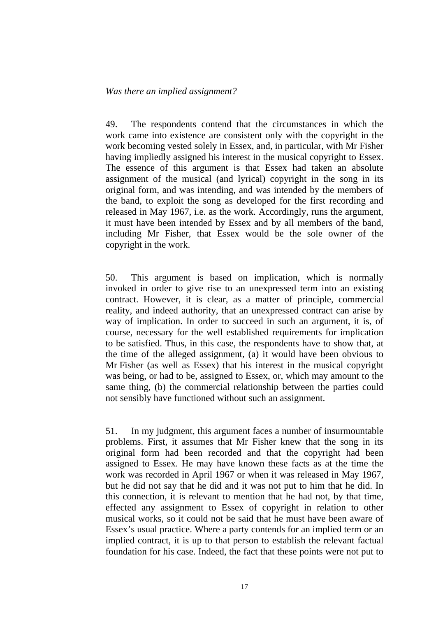#### *Was there an implied assignment?*

49. The respondents contend that the circumstances in which the work came into existence are consistent only with the copyright in the work becoming vested solely in Essex, and, in particular, with Mr Fisher having impliedly assigned his interest in the musical copyright to Essex. The essence of this argument is that Essex had taken an absolute assignment of the musical (and lyrical) copyright in the song in its original form, and was intending, and was intended by the members of the band, to exploit the song as developed for the first recording and released in May 1967, i.e. as the work. Accordingly, runs the argument, it must have been intended by Essex and by all members of the band, including Mr Fisher, that Essex would be the sole owner of the copyright in the work.

50. This argument is based on implication, which is normally invoked in order to give rise to an unexpressed term into an existing contract. However, it is clear, as a matter of principle, commercial reality, and indeed authority, that an unexpressed contract can arise by way of implication. In order to succeed in such an argument, it is, of course, necessary for the well established requirements for implication to be satisfied. Thus, in this case, the respondents have to show that, at the time of the alleged assignment, (a) it would have been obvious to Mr Fisher (as well as Essex) that his interest in the musical copyright was being, or had to be, assigned to Essex, or, which may amount to the same thing, (b) the commercial relationship between the parties could not sensibly have functioned without such an assignment.

51. In my judgment, this argument faces a number of insurmountable problems. First, it assumes that Mr Fisher knew that the song in its original form had been recorded and that the copyright had been assigned to Essex. He may have known these facts as at the time the work was recorded in April 1967 or when it was released in May 1967, but he did not say that he did and it was not put to him that he did. In this connection, it is relevant to mention that he had not, by that time, effected any assignment to Essex of copyright in relation to other musical works, so it could not be said that he must have been aware of Essex's usual practice. Where a party contends for an implied term or an implied contract, it is up to that person to establish the relevant factual foundation for his case. Indeed, the fact that these points were not put to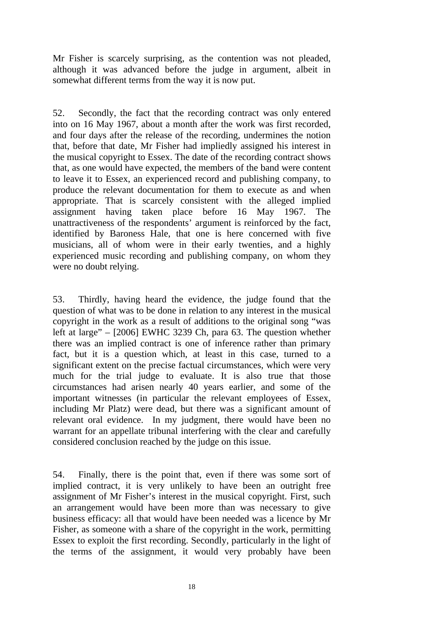Mr Fisher is scarcely surprising, as the contention was not pleaded, although it was advanced before the judge in argument, albeit in somewhat different terms from the way it is now put.

52. Secondly, the fact that the recording contract was only entered into on 16 May 1967, about a month after the work was first recorded, and four days after the release of the recording, undermines the notion that, before that date, Mr Fisher had impliedly assigned his interest in the musical copyright to Essex. The date of the recording contract shows that, as one would have expected, the members of the band were content to leave it to Essex, an experienced record and publishing company, to produce the relevant documentation for them to execute as and when appropriate. That is scarcely consistent with the alleged implied assignment having taken place before 16 May 1967. The unattractiveness of the respondents' argument is reinforced by the fact, identified by Baroness Hale, that one is here concerned with five musicians, all of whom were in their early twenties, and a highly experienced music recording and publishing company, on whom they were no doubt relying.

53. Thirdly, having heard the evidence, the judge found that the question of what was to be done in relation to any interest in the musical copyright in the work as a result of additions to the original song "was left at large" – [2006] EWHC 3239 Ch, para 63. The question whether there was an implied contract is one of inference rather than primary fact, but it is a question which, at least in this case, turned to a significant extent on the precise factual circumstances, which were very much for the trial judge to evaluate. It is also true that those circumstances had arisen nearly 40 years earlier, and some of the important witnesses (in particular the relevant employees of Essex, including Mr Platz) were dead, but there was a significant amount of relevant oral evidence. In my judgment, there would have been no warrant for an appellate tribunal interfering with the clear and carefully considered conclusion reached by the judge on this issue.

54. Finally, there is the point that, even if there was some sort of implied contract, it is very unlikely to have been an outright free assignment of Mr Fisher's interest in the musical copyright. First, such an arrangement would have been more than was necessary to give business efficacy: all that would have been needed was a licence by Mr Fisher, as someone with a share of the copyright in the work, permitting Essex to exploit the first recording. Secondly, particularly in the light of the terms of the assignment, it would very probably have been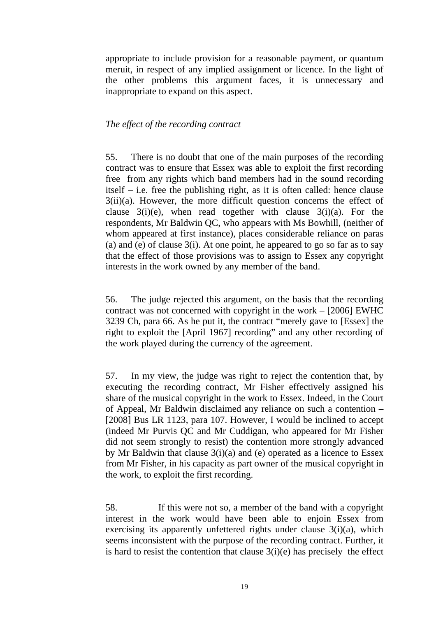appropriate to include provision for a reasonable payment, or quantum meruit, in respect of any implied assignment or licence. In the light of the other problems this argument faces, it is unnecessary and inappropriate to expand on this aspect.

# *The effect of the recording contract*

55. There is no doubt that one of the main purposes of the recording contract was to ensure that Essex was able to exploit the first recording free from any rights which band members had in the sound recording itself – i.e. free the publishing right, as it is often called: hence clause  $3(ii)(a)$ . However, the more difficult question concerns the effect of clause  $3(i)(e)$ , when read together with clause  $3(i)(a)$ . For the respondents, Mr Baldwin QC, who appears with Ms Bowhill, (neither of whom appeared at first instance), places considerable reliance on paras (a) and (e) of clause  $3(i)$ . At one point, he appeared to go so far as to say that the effect of those provisions was to assign to Essex any copyright interests in the work owned by any member of the band.

56. The judge rejected this argument, on the basis that the recording contract was not concerned with copyright in the work – [2006] EWHC 3239 Ch, para 66. As he put it, the contract "merely gave to [Essex] the right to exploit the [April 1967] recording" and any other recording of the work played during the currency of the agreement.

57. In my view, the judge was right to reject the contention that, by executing the recording contract, Mr Fisher effectively assigned his share of the musical copyright in the work to Essex. Indeed, in the Court of Appeal, Mr Baldwin disclaimed any reliance on such a contention – [2008] Bus LR 1123, para 107. However, I would be inclined to accept (indeed Mr Purvis QC and Mr Cuddigan, who appeared for Mr Fisher did not seem strongly to resist) the contention more strongly advanced by Mr Baldwin that clause 3(i)(a) and (e) operated as a licence to Essex from Mr Fisher, in his capacity as part owner of the musical copyright in the work, to exploit the first recording.

58. If this were not so, a member of the band with a copyright interest in the work would have been able to enjoin Essex from exercising its apparently unfettered rights under clause 3(i)(a), which seems inconsistent with the purpose of the recording contract. Further, it is hard to resist the contention that clause  $3(i)(e)$  has precisely the effect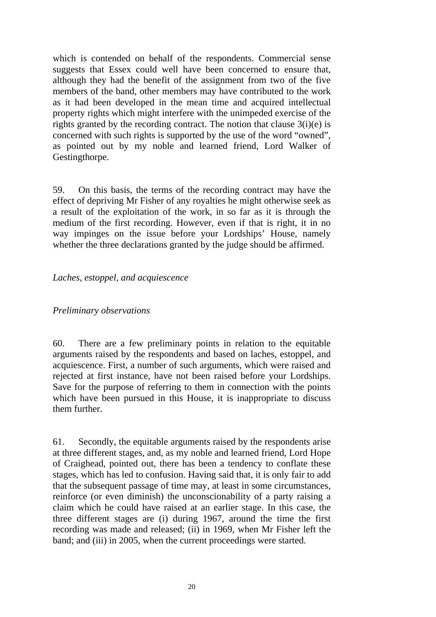which is contended on behalf of the respondents. Commercial sense suggests that Essex could well have been concerned to ensure that, although they had the benefit of the assignment from two of the five members of the band, other members may have contributed to the work as it had been developed in the mean time and acquired intellectual property rights which might interfere with the unimpeded exercise of the rights granted by the recording contract. The notion that clause  $3(i)(e)$  is concerned with such rights is supported by the use of the word "owned", as pointed out by my noble and learned friend, Lord Walker of Gestingthorpe.

59. On this basis, the terms of the recording contract may have the effect of depriving Mr Fisher of any royalties he might otherwise seek as a result of the exploitation of the work, in so far as it is through the medium of the first recording. However, even if that is right, it in no way impinges on the issue before your Lordships' House, namely whether the three declarations granted by the judge should be affirmed.

#### *Laches, estoppel, and acquiescence*

#### *Preliminary observations*

60. There are a few preliminary points in relation to the equitable arguments raised by the respondents and based on laches, estoppel, and acquiescence. First, a number of such arguments, which were raised and rejected at first instance, have not been raised before your Lordships. Save for the purpose of referring to them in connection with the points which have been pursued in this House, it is inappropriate to discuss them further.

61. Secondly, the equitable arguments raised by the respondents arise at three different stages, and, as my noble and learned friend, Lord Hope of Craighead, pointed out, there has been a tendency to conflate these stages, which has led to confusion. Having said that, it is only fair to add that the subsequent passage of time may, at least in some circumstances, reinforce (or even diminish) the unconscionability of a party raising a claim which he could have raised at an earlier stage. In this case, the three different stages are (i) during 1967, around the time the first recording was made and released; (ii) in 1969, when Mr Fisher left the band; and (iii) in 2005, when the current proceedings were started.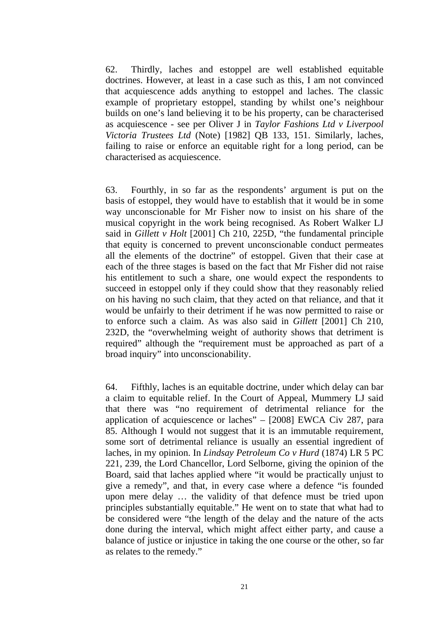62. Thirdly, laches and estoppel are well established equitable doctrines. However, at least in a case such as this, I am not convinced that acquiescence adds anything to estoppel and laches. The classic example of proprietary estoppel, standing by whilst one's neighbour builds on one's land believing it to be his property, can be characterised as acquiescence - see per Oliver J in *Taylor Fashions Ltd v Liverpool Victoria Trustees Ltd* (Note) [1982] QB 133, 151. Similarly, laches, failing to raise or enforce an equitable right for a long period, can be characterised as acquiescence.

63. Fourthly, in so far as the respondents' argument is put on the basis of estoppel, they would have to establish that it would be in some way unconscionable for Mr Fisher now to insist on his share of the musical copyright in the work being recognised. As Robert Walker LJ said in *Gillett v Holt* [2001] Ch 210, 225D, "the fundamental principle that equity is concerned to prevent unconscionable conduct permeates all the elements of the doctrine" of estoppel. Given that their case at each of the three stages is based on the fact that Mr Fisher did not raise his entitlement to such a share, one would expect the respondents to succeed in estoppel only if they could show that they reasonably relied on his having no such claim, that they acted on that reliance, and that it would be unfairly to their detriment if he was now permitted to raise or to enforce such a claim. As was also said in *Gillett* [2001] Ch 210, 232D, the "overwhelming weight of authority shows that detriment is required" although the "requirement must be approached as part of a broad inquiry" into unconscionability.

64. Fifthly, laches is an equitable doctrine, under which delay can bar a claim to equitable relief. In the Court of Appeal, Mummery LJ said that there was "no requirement of detrimental reliance for the application of acquiescence or laches" – [2008] EWCA Civ 287, para 85. Although I would not suggest that it is an immutable requirement, some sort of detrimental reliance is usually an essential ingredient of laches, in my opinion. In *Lindsay Petroleum Co v Hurd* (1874) LR 5 PC 221, 239, the Lord Chancellor, Lord Selborne, giving the opinion of the Board, said that laches applied where "it would be practically unjust to give a remedy", and that, in every case where a defence "is founded upon mere delay … the validity of that defence must be tried upon principles substantially equitable." He went on to state that what had to be considered were "the length of the delay and the nature of the acts done during the interval, which might affect either party, and cause a balance of justice or injustice in taking the one course or the other, so far as relates to the remedy."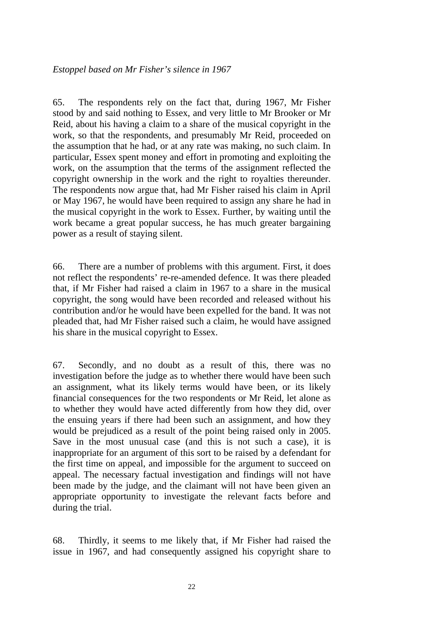65. The respondents rely on the fact that, during 1967, Mr Fisher stood by and said nothing to Essex, and very little to Mr Brooker or Mr Reid, about his having a claim to a share of the musical copyright in the work, so that the respondents, and presumably Mr Reid, proceeded on the assumption that he had, or at any rate was making, no such claim. In particular, Essex spent money and effort in promoting and exploiting the work, on the assumption that the terms of the assignment reflected the copyright ownership in the work and the right to royalties thereunder. The respondents now argue that, had Mr Fisher raised his claim in April or May 1967, he would have been required to assign any share he had in the musical copyright in the work to Essex. Further, by waiting until the work became a great popular success, he has much greater bargaining power as a result of staying silent.

66. There are a number of problems with this argument. First, it does not reflect the respondents' re-re-amended defence. It was there pleaded that, if Mr Fisher had raised a claim in 1967 to a share in the musical copyright, the song would have been recorded and released without his contribution and/or he would have been expelled for the band. It was not pleaded that, had Mr Fisher raised such a claim, he would have assigned his share in the musical copyright to Essex.

67. Secondly, and no doubt as a result of this, there was no investigation before the judge as to whether there would have been such an assignment, what its likely terms would have been, or its likely financial consequences for the two respondents or Mr Reid, let alone as to whether they would have acted differently from how they did, over the ensuing years if there had been such an assignment, and how they would be prejudiced as a result of the point being raised only in 2005. Save in the most unusual case (and this is not such a case), it is inappropriate for an argument of this sort to be raised by a defendant for the first time on appeal, and impossible for the argument to succeed on appeal. The necessary factual investigation and findings will not have been made by the judge, and the claimant will not have been given an appropriate opportunity to investigate the relevant facts before and during the trial.

68. Thirdly, it seems to me likely that, if Mr Fisher had raised the issue in 1967, and had consequently assigned his copyright share to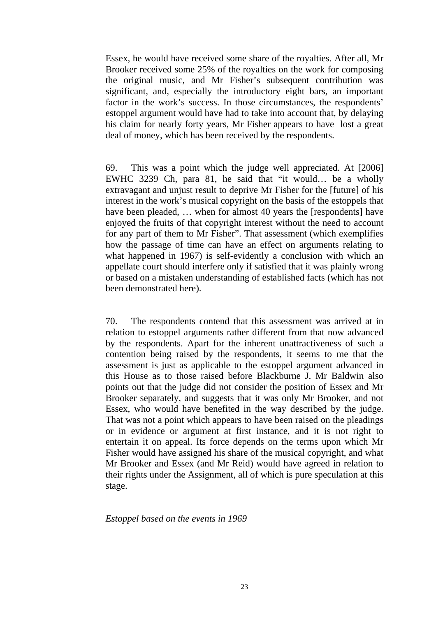Essex, he would have received some share of the royalties. After all, Mr Brooker received some 25% of the royalties on the work for composing the original music, and Mr Fisher's subsequent contribution was significant, and, especially the introductory eight bars, an important factor in the work's success. In those circumstances, the respondents' estoppel argument would have had to take into account that, by delaying his claim for nearly forty years, Mr Fisher appears to have lost a great deal of money, which has been received by the respondents.

69. This was a point which the judge well appreciated. At [2006] EWHC 3239 Ch, para 81, he said that "it would… be a wholly extravagant and unjust result to deprive Mr Fisher for the [future] of his interest in the work's musical copyright on the basis of the estoppels that have been pleaded, … when for almost 40 years the [respondents] have enjoyed the fruits of that copyright interest without the need to account for any part of them to Mr Fisher". That assessment (which exemplifies how the passage of time can have an effect on arguments relating to what happened in 1967) is self-evidently a conclusion with which an appellate court should interfere only if satisfied that it was plainly wrong or based on a mistaken understanding of established facts (which has not been demonstrated here).

70. The respondents contend that this assessment was arrived at in relation to estoppel arguments rather different from that now advanced by the respondents. Apart for the inherent unattractiveness of such a contention being raised by the respondents, it seems to me that the assessment is just as applicable to the estoppel argument advanced in this House as to those raised before Blackburne J. Mr Baldwin also points out that the judge did not consider the position of Essex and Mr Brooker separately, and suggests that it was only Mr Brooker, and not Essex, who would have benefited in the way described by the judge. That was not a point which appears to have been raised on the pleadings or in evidence or argument at first instance, and it is not right to entertain it on appeal. Its force depends on the terms upon which Mr Fisher would have assigned his share of the musical copyright, and what Mr Brooker and Essex (and Mr Reid) would have agreed in relation to their rights under the Assignment, all of which is pure speculation at this stage.

*Estoppel based on the events in 1969*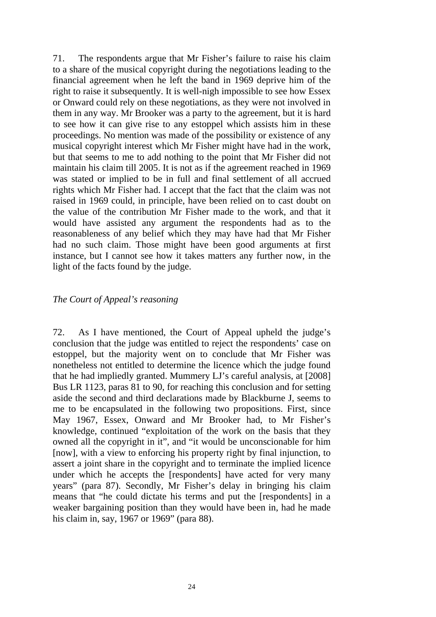71. The respondents argue that Mr Fisher's failure to raise his claim to a share of the musical copyright during the negotiations leading to the financial agreement when he left the band in 1969 deprive him of the right to raise it subsequently. It is well-nigh impossible to see how Essex or Onward could rely on these negotiations, as they were not involved in them in any way. Mr Brooker was a party to the agreement, but it is hard to see how it can give rise to any estoppel which assists him in these proceedings. No mention was made of the possibility or existence of any musical copyright interest which Mr Fisher might have had in the work, but that seems to me to add nothing to the point that Mr Fisher did not maintain his claim till 2005. It is not as if the agreement reached in 1969 was stated or implied to be in full and final settlement of all accrued rights which Mr Fisher had. I accept that the fact that the claim was not raised in 1969 could, in principle, have been relied on to cast doubt on the value of the contribution Mr Fisher made to the work, and that it would have assisted any argument the respondents had as to the reasonableness of any belief which they may have had that Mr Fisher had no such claim. Those might have been good arguments at first instance, but I cannot see how it takes matters any further now, in the light of the facts found by the judge.

#### *The Court of Appeal's reasoning*

72. As I have mentioned, the Court of Appeal upheld the judge's conclusion that the judge was entitled to reject the respondents' case on estoppel, but the majority went on to conclude that Mr Fisher was nonetheless not entitled to determine the licence which the judge found that he had impliedly granted. Mummery LJ's careful analysis, at [2008] Bus LR 1123, paras 81 to 90, for reaching this conclusion and for setting aside the second and third declarations made by Blackburne J, seems to me to be encapsulated in the following two propositions. First, since May 1967, Essex, Onward and Mr Brooker had, to Mr Fisher's knowledge, continued "exploitation of the work on the basis that they owned all the copyright in it", and "it would be unconscionable for him [now], with a view to enforcing his property right by final injunction, to assert a joint share in the copyright and to terminate the implied licence under which he accepts the [respondents] have acted for very many years" (para 87). Secondly, Mr Fisher's delay in bringing his claim means that "he could dictate his terms and put the [respondents] in a weaker bargaining position than they would have been in, had he made his claim in, say, 1967 or 1969" (para 88).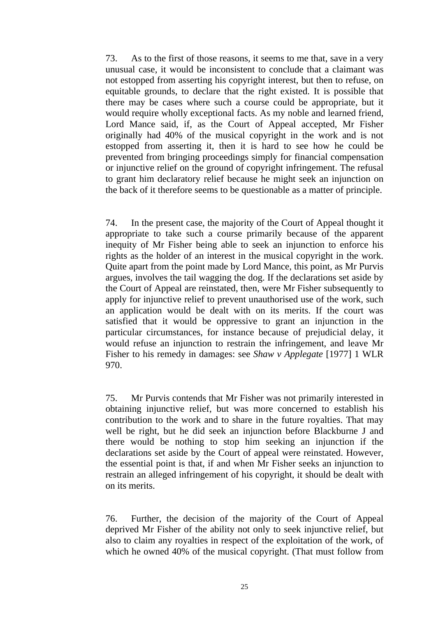73. As to the first of those reasons, it seems to me that, save in a very unusual case, it would be inconsistent to conclude that a claimant was not estopped from asserting his copyright interest, but then to refuse, on equitable grounds, to declare that the right existed. It is possible that there may be cases where such a course could be appropriate, but it would require wholly exceptional facts. As my noble and learned friend, Lord Mance said, if, as the Court of Appeal accepted, Mr Fisher originally had 40% of the musical copyright in the work and is not estopped from asserting it, then it is hard to see how he could be prevented from bringing proceedings simply for financial compensation or injunctive relief on the ground of copyright infringement. The refusal to grant him declaratory relief because he might seek an injunction on the back of it therefore seems to be questionable as a matter of principle.

74. In the present case, the majority of the Court of Appeal thought it appropriate to take such a course primarily because of the apparent inequity of Mr Fisher being able to seek an injunction to enforce his rights as the holder of an interest in the musical copyright in the work. Quite apart from the point made by Lord Mance, this point, as Mr Purvis argues, involves the tail wagging the dog. If the declarations set aside by the Court of Appeal are reinstated, then, were Mr Fisher subsequently to apply for injunctive relief to prevent unauthorised use of the work, such an application would be dealt with on its merits. If the court was satisfied that it would be oppressive to grant an injunction in the particular circumstances, for instance because of prejudicial delay, it would refuse an injunction to restrain the infringement, and leave Mr Fisher to his remedy in damages: see *Shaw v Applegate* [1977] 1 WLR 970.

75. Mr Purvis contends that Mr Fisher was not primarily interested in obtaining injunctive relief, but was more concerned to establish his contribution to the work and to share in the future royalties. That may well be right, but he did seek an injunction before Blackburne J and there would be nothing to stop him seeking an injunction if the declarations set aside by the Court of appeal were reinstated. However, the essential point is that, if and when Mr Fisher seeks an injunction to restrain an alleged infringement of his copyright, it should be dealt with on its merits.

76. Further, the decision of the majority of the Court of Appeal deprived Mr Fisher of the ability not only to seek injunctive relief, but also to claim any royalties in respect of the exploitation of the work, of which he owned 40% of the musical copyright. (That must follow from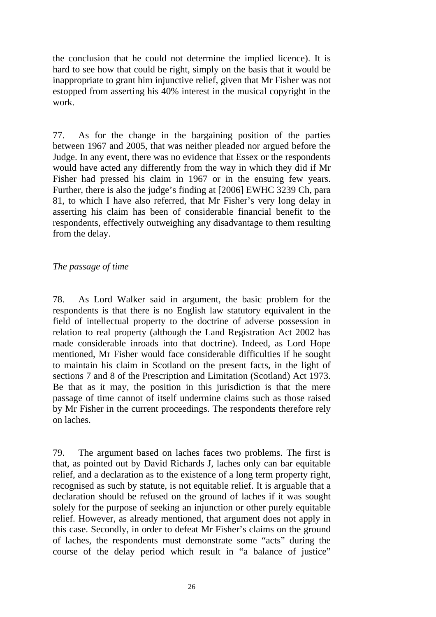the conclusion that he could not determine the implied licence). It is hard to see how that could be right, simply on the basis that it would be inappropriate to grant him injunctive relief, given that Mr Fisher was not estopped from asserting his 40% interest in the musical copyright in the work.

77. As for the change in the bargaining position of the parties between 1967 and 2005, that was neither pleaded nor argued before the Judge. In any event, there was no evidence that Essex or the respondents would have acted any differently from the way in which they did if Mr Fisher had pressed his claim in 1967 or in the ensuing few years. Further, there is also the judge's finding at [2006] EWHC 3239 Ch, para 81, to which I have also referred, that Mr Fisher's very long delay in asserting his claim has been of considerable financial benefit to the respondents, effectively outweighing any disadvantage to them resulting from the delay.

## *The passage of time*

78. As Lord Walker said in argument, the basic problem for the respondents is that there is no English law statutory equivalent in the field of intellectual property to the doctrine of adverse possession in relation to real property (although the Land Registration Act 2002 has made considerable inroads into that doctrine). Indeed, as Lord Hope mentioned, Mr Fisher would face considerable difficulties if he sought to maintain his claim in Scotland on the present facts, in the light of sections 7 and 8 of the Prescription and Limitation (Scotland) Act 1973. Be that as it may, the position in this jurisdiction is that the mere passage of time cannot of itself undermine claims such as those raised by Mr Fisher in the current proceedings. The respondents therefore rely on laches.

79. The argument based on laches faces two problems. The first is that, as pointed out by David Richards J, laches only can bar equitable relief, and a declaration as to the existence of a long term property right, recognised as such by statute, is not equitable relief. It is arguable that a declaration should be refused on the ground of laches if it was sought solely for the purpose of seeking an injunction or other purely equitable relief. However, as already mentioned, that argument does not apply in this case. Secondly, in order to defeat Mr Fisher's claims on the ground of laches, the respondents must demonstrate some "acts" during the course of the delay period which result in "a balance of justice"